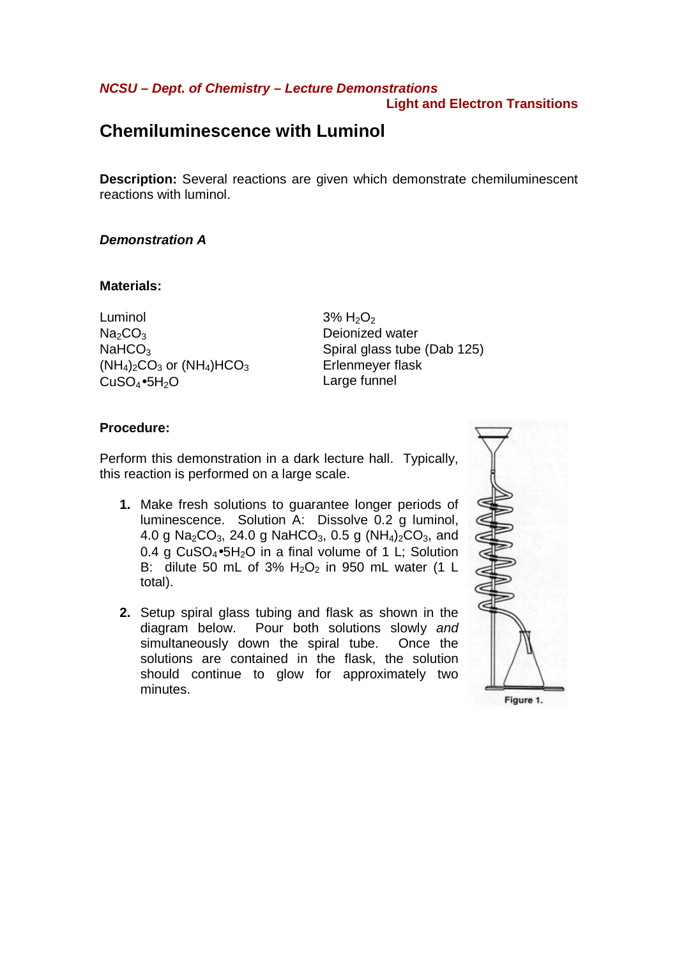## **NCSU – Dept. of Chemistry – Lecture Demonstrations Light and Electron Transitions**

# **Chemiluminescence with Luminol**

**Description:** Several reactions are given which demonstrate chemiluminescent reactions with luminol.

# **Demonstration A**

### **Materials:**

Luminol  $3\%$  H<sub>2</sub>O<sub>2</sub>  $Na<sub>2</sub>CO<sub>3</sub>$  Deionized water  $(NH_4)_2CO_3$  or  $(NH_4)HCO_3$  Erlenmeyer flask CuSO<sub>4</sub>•5H<sub>2</sub>O Large funnel

 $NaHCO<sub>3</sub>$  Spiral glass tube (Dab 125)

# **Procedure:**

Perform this demonstration in a dark lecture hall. Typically, this reaction is performed on a large scale.

- **1.** Make fresh solutions to guarantee longer periods of luminescence. Solution A: Dissolve 0.2 g luminol, 4.0 g Na<sub>2</sub>CO<sub>3</sub>, 24.0 g NaHCO<sub>3</sub>, 0.5 g (NH<sub>4</sub>)<sub>2</sub>CO<sub>3</sub>, and 0.4 g  $CuSO_4 \bullet 5H_2O$  in a final volume of 1 L; Solution B: dilute 50 mL of 3%  $H<sub>2</sub>O<sub>2</sub>$  in 950 mL water (1 L total).
- **2.** Setup spiral glass tubing and flask as shown in the diagram below. Pour both solutions slowly and simultaneously down the spiral tube. Once the solutions are contained in the flask, the solution should continue to glow for approximately two minutes.

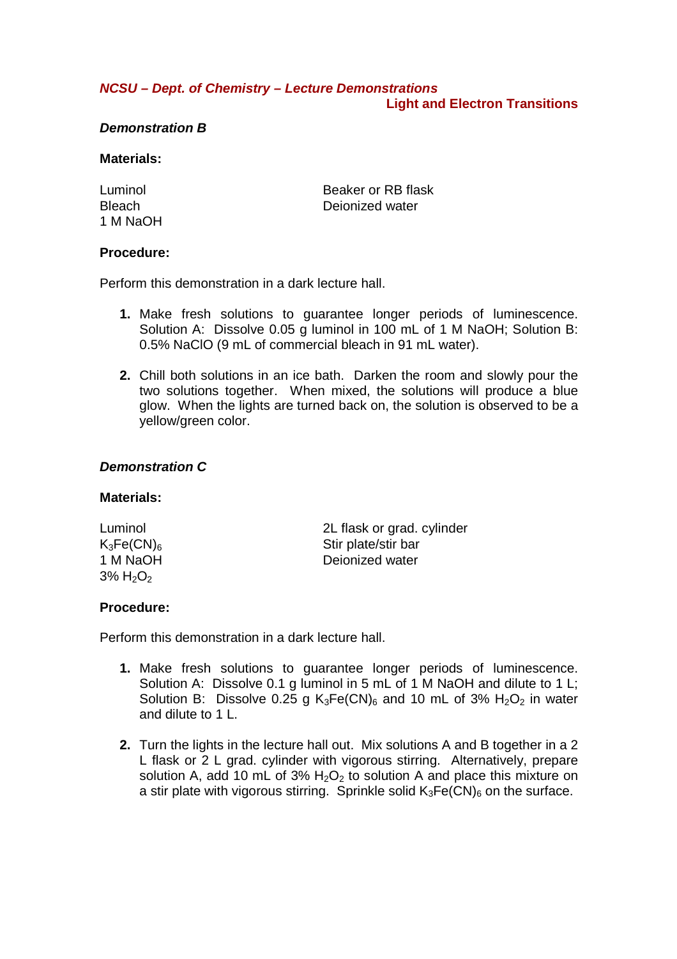## **NCSU – Dept. of Chemistry – Lecture Demonstrations Light and Electron Transitions**

## **Demonstration B**

### **Materials:**

1 M NaOH

Luminol Beaker or RB flask Bleach Deionized water

## **Procedure:**

Perform this demonstration in a dark lecture hall.

- **1.** Make fresh solutions to guarantee longer periods of luminescence. Solution A: Dissolve 0.05 g luminol in 100 mL of 1 M NaOH; Solution B: 0.5% NaClO (9 mL of commercial bleach in 91 mL water).
- **2.** Chill both solutions in an ice bath. Darken the room and slowly pour the two solutions together. When mixed, the solutions will produce a blue glow. When the lights are turned back on, the solution is observed to be a yellow/green color.

# **Demonstration C**

### **Materials:**

| Luminol                             | 2L flask or grad. cylinder |
|-------------------------------------|----------------------------|
| $K_3Fe(CN)_6$                       | Stir plate/stir bar        |
| 1 M NaOH                            | Dejonized water            |
| $3\%$ H <sub>2</sub> O <sub>2</sub> |                            |

# **Procedure:**

Perform this demonstration in a dark lecture hall.

- **1.** Make fresh solutions to guarantee longer periods of luminescence. Solution A: Dissolve 0.1 g luminol in 5 mL of 1 M NaOH and dilute to 1 L; Solution B: Dissolve 0.25 g  $K_3Fe(CN)_6$  and 10 mL of 3%  $H_2O_2$  in water and dilute to 1 L.
- **2.** Turn the lights in the lecture hall out. Mix solutions A and B together in a 2 L flask or 2 L grad. cylinder with vigorous stirring. Alternatively, prepare solution A, add 10 mL of 3%  $H_2O_2$  to solution A and place this mixture on a stir plate with vigorous stirring. Sprinkle solid  $K_3Fe(CN)_6$  on the surface.